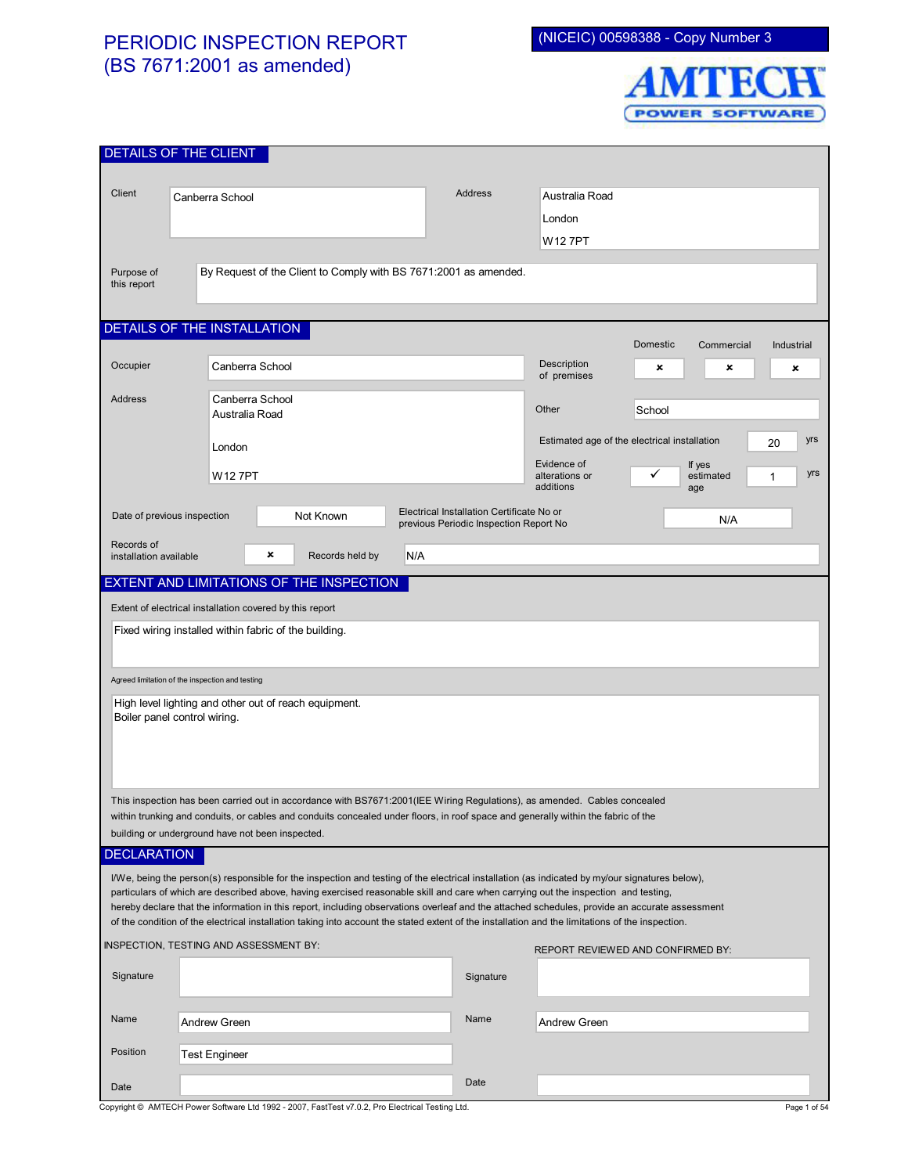## PERIODIC INSPECTION REPORT (BS 7671:2001 as amended)

(NICEIC) 00598388 - Copy Number 3



| DETAILS OF THE CLIENT                                                                                                                                                                                                                                                                |                                                                                                                                                  |                                                                                     |                                                           |                                   |            |  |  |
|--------------------------------------------------------------------------------------------------------------------------------------------------------------------------------------------------------------------------------------------------------------------------------------|--------------------------------------------------------------------------------------------------------------------------------------------------|-------------------------------------------------------------------------------------|-----------------------------------------------------------|-----------------------------------|------------|--|--|
|                                                                                                                                                                                                                                                                                      |                                                                                                                                                  |                                                                                     |                                                           |                                   |            |  |  |
| Client                                                                                                                                                                                                                                                                               | <b>Address</b><br>Canberra School                                                                                                                |                                                                                     | Australia Road                                            |                                   |            |  |  |
|                                                                                                                                                                                                                                                                                      |                                                                                                                                                  |                                                                                     | London                                                    |                                   |            |  |  |
|                                                                                                                                                                                                                                                                                      |                                                                                                                                                  |                                                                                     | W12 7PT                                                   |                                   |            |  |  |
| Purpose of                                                                                                                                                                                                                                                                           | By Request of the Client to Comply with BS 7671:2001 as amended.                                                                                 |                                                                                     |                                                           |                                   |            |  |  |
| this report                                                                                                                                                                                                                                                                          |                                                                                                                                                  |                                                                                     |                                                           |                                   |            |  |  |
|                                                                                                                                                                                                                                                                                      |                                                                                                                                                  |                                                                                     |                                                           |                                   |            |  |  |
|                                                                                                                                                                                                                                                                                      | DETAILS OF THE INSTALLATION                                                                                                                      |                                                                                     |                                                           | Domestic<br>Commercial            | Industrial |  |  |
| Occupier                                                                                                                                                                                                                                                                             | Canberra School                                                                                                                                  |                                                                                     | Description                                               | ×<br>×                            |            |  |  |
|                                                                                                                                                                                                                                                                                      |                                                                                                                                                  |                                                                                     | of premises                                               |                                   | ×          |  |  |
| <b>Address</b>                                                                                                                                                                                                                                                                       | Canberra School<br>Australia Road                                                                                                                |                                                                                     | Other                                                     | School                            |            |  |  |
|                                                                                                                                                                                                                                                                                      |                                                                                                                                                  |                                                                                     |                                                           |                                   |            |  |  |
|                                                                                                                                                                                                                                                                                      | London                                                                                                                                           |                                                                                     | Estimated age of the electrical installation<br>yrs<br>20 |                                   |            |  |  |
|                                                                                                                                                                                                                                                                                      | W127PT                                                                                                                                           |                                                                                     | Evidence of<br>alterations or                             | If yes<br>✓<br>estimated          | yrs<br>1   |  |  |
|                                                                                                                                                                                                                                                                                      |                                                                                                                                                  |                                                                                     | additions                                                 | age                               |            |  |  |
| Date of previous inspection                                                                                                                                                                                                                                                          | Not Known                                                                                                                                        | Electrical Installation Certificate No or<br>previous Periodic Inspection Report No |                                                           | N/A                               |            |  |  |
| Records of                                                                                                                                                                                                                                                                           |                                                                                                                                                  |                                                                                     |                                                           |                                   |            |  |  |
| installation available                                                                                                                                                                                                                                                               | ×<br>N/A<br>Records held by                                                                                                                      |                                                                                     |                                                           |                                   |            |  |  |
| EXTENT AND LIMITATIONS OF THE INSPECTION                                                                                                                                                                                                                                             |                                                                                                                                                  |                                                                                     |                                                           |                                   |            |  |  |
|                                                                                                                                                                                                                                                                                      | Extent of electrical installation covered by this report                                                                                         |                                                                                     |                                                           |                                   |            |  |  |
|                                                                                                                                                                                                                                                                                      | Fixed wiring installed within fabric of the building.                                                                                            |                                                                                     |                                                           |                                   |            |  |  |
|                                                                                                                                                                                                                                                                                      |                                                                                                                                                  |                                                                                     |                                                           |                                   |            |  |  |
| Agreed limitation of the inspection and testing                                                                                                                                                                                                                                      |                                                                                                                                                  |                                                                                     |                                                           |                                   |            |  |  |
| High level lighting and other out of reach equipment.                                                                                                                                                                                                                                |                                                                                                                                                  |                                                                                     |                                                           |                                   |            |  |  |
| Boiler panel control wiring.                                                                                                                                                                                                                                                         |                                                                                                                                                  |                                                                                     |                                                           |                                   |            |  |  |
|                                                                                                                                                                                                                                                                                      |                                                                                                                                                  |                                                                                     |                                                           |                                   |            |  |  |
|                                                                                                                                                                                                                                                                                      |                                                                                                                                                  |                                                                                     |                                                           |                                   |            |  |  |
|                                                                                                                                                                                                                                                                                      |                                                                                                                                                  |                                                                                     |                                                           |                                   |            |  |  |
| This inspection has been carried out in accordance with BS7671:2001(IEE Wiring Regulations), as amended. Cables concealed<br>within trunking and conduits, or cables and conduits concealed under floors, in roof space and generally within the fabric of the                       |                                                                                                                                                  |                                                                                     |                                                           |                                   |            |  |  |
|                                                                                                                                                                                                                                                                                      | building or underground have not been inspected.                                                                                                 |                                                                                     |                                                           |                                   |            |  |  |
| <b>DECLARATION</b>                                                                                                                                                                                                                                                                   |                                                                                                                                                  |                                                                                     |                                                           |                                   |            |  |  |
| I/We, being the person(s) responsible for the inspection and testing of the electrical installation (as indicated by my/our signatures below),                                                                                                                                       |                                                                                                                                                  |                                                                                     |                                                           |                                   |            |  |  |
| particulars of which are described above, having exercised reasonable skill and care when carrying out the inspection and testing,<br>hereby declare that the information in this report, including observations overleaf and the attached schedules, provide an accurate assessment |                                                                                                                                                  |                                                                                     |                                                           |                                   |            |  |  |
|                                                                                                                                                                                                                                                                                      | of the condition of the electrical installation taking into account the stated extent of the installation and the limitations of the inspection. |                                                                                     |                                                           |                                   |            |  |  |
|                                                                                                                                                                                                                                                                                      | INSPECTION, TESTING AND ASSESSMENT BY:                                                                                                           |                                                                                     |                                                           | REPORT REVIEWED AND CONFIRMED BY: |            |  |  |
| Signature                                                                                                                                                                                                                                                                            |                                                                                                                                                  | Signature                                                                           |                                                           |                                   |            |  |  |
|                                                                                                                                                                                                                                                                                      |                                                                                                                                                  |                                                                                     |                                                           |                                   |            |  |  |
| Name                                                                                                                                                                                                                                                                                 | <b>Andrew Green</b>                                                                                                                              | Name                                                                                | <b>Andrew Green</b>                                       |                                   |            |  |  |
|                                                                                                                                                                                                                                                                                      |                                                                                                                                                  |                                                                                     |                                                           |                                   |            |  |  |
| Position                                                                                                                                                                                                                                                                             | <b>Test Engineer</b>                                                                                                                             |                                                                                     |                                                           |                                   |            |  |  |
| Date                                                                                                                                                                                                                                                                                 |                                                                                                                                                  | Date                                                                                |                                                           |                                   |            |  |  |